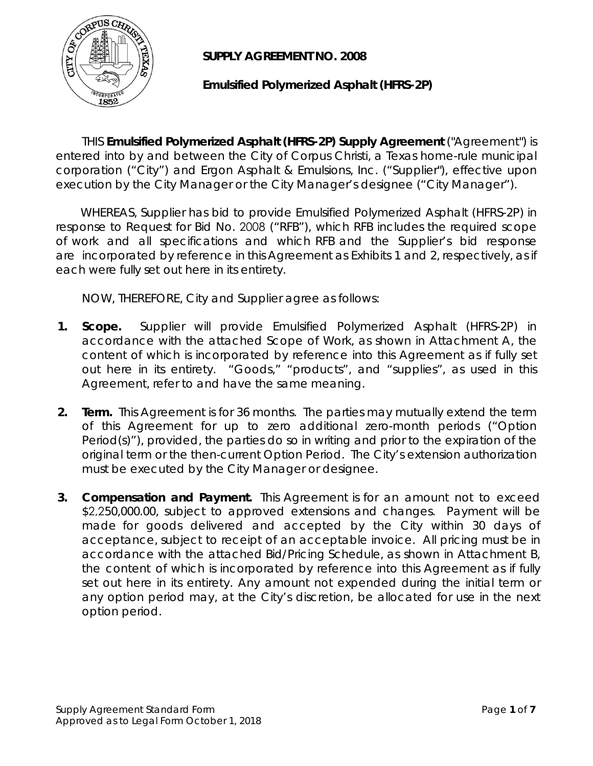

**SUPPLY AGREEMENT NO. 2008** 

## **Emulsified Polymerized Asphalt (HFRS-2P)**

THIS **Emulsified Polymerized Asphalt (HFRS-2P) Supply Agreement** ("Agreement") is entered into by and between the City of Corpus Christi, a Texas home-rule municipal corporation ("City") and Ergon Asphalt & Emulsions, Inc. ("Supplier"), effective upon execution by the City Manager or the City Manager's designee ("City Manager").

 WHEREAS, Supplier has bid to provide Emulsified Polymerized Asphalt (HFRS-2P) in response to Request for Bid No. 2008 ("RFB"), which RFB includes the required scope of work and all specifications and which RFB and the Supplier's bid response are incorporated by reference in this Agreement as Exhibits 1 and 2, respectively, as if each were fully set out here in its entirety.

NOW, THEREFORE, City and Supplier agree as follows:

- **1. Scope.** Supplier will provide Emulsified Polymerized Asphalt (HFRS-2P) in accordance with the attached Scope of Work, as shown in Attachment A, the content of which is incorporated by reference into this Agreement as if fully set out here in its entirety. "Goods," "products", and "supplies", as used in this Agreement, refer to and have the same meaning.
- **2. Term.** This Agreement is for 36 months. The parties may mutually extend the term of this Agreement for up to zero additional zero-month periods ("Option Period(s)"), provided, the parties do so in writing and prior to the expiration of the original term or the then-current Option Period. The City's extension authorization must be executed by the City Manager or designee.
- **3. Compensation and Payment.** This Agreement is for an amount not to exceed \$2,250,000.00, subject to approved extensions and changes. Payment will be made for goods delivered and accepted by the City within 30 days of acceptance, subject to receipt of an acceptable invoice. All pricing must be in accordance with the attached Bid/Pricing Schedule, as shown in Attachment B, the content of which is incorporated by reference into this Agreement as if fully set out here in its entirety. Any amount not expended during the initial term or any option period may, at the City's discretion, be allocated for use in the next option period.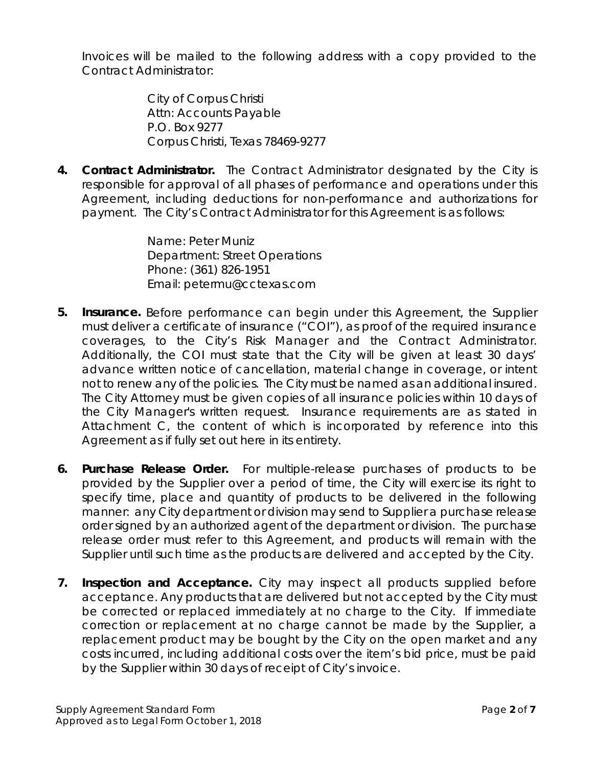Invoices will be mailed to the following address with a copy provided to the Contract Administrator:

> City of Corpus Christi Attn: Accounts Payable P.O. Box 9277 Corpus Christi, Texas 78469-9277

**4. Contract Administrator.** The Contract Administrator designated by the City is responsible for approval of all phases of performance and operations under this Agreement, including deductions for non-performance and authorizations for payment. The City's Contract Administrator for this Agreement is as follows:

> Name: Peter Muniz Department: Street Operations Phone: (361) 826-1951 Email: petermu@cctexas.com

- **5. Insurance.** Before performance can begin under this Agreement, the Supplier must deliver a certificate of insurance ("COI"), as proof of the required insurance coverages, to the City's Risk Manager and the Contract Administrator. Additionally, the COI must state that the City will be given at least 30 days' advance written notice of cancellation, material change in coverage, or intent not to renew any of the policies. The City must be named as an additional insured. The City Attorney must be given copies of all insurance policies within 10 days of the City Manager's written request. Insurance requirements are as stated in Attachment C, the content of which is incorporated by reference into this Agreement as if fully set out here in its entirety.
- **6. Purchase Release Order.** For multiple-release purchases of products to be provided by the Supplier over a period of time, the City will exercise its right to specify time, place and quantity of products to be delivered in the following manner: any City department or division may send to Supplier a purchase release order signed by an authorized agent of the department or division. The purchase release order must refer to this Agreement, and products will remain with the Supplier until such time as the products are delivered and accepted by the City.
- **7. Inspection and Acceptance.** City may inspect all products supplied before acceptance. Any products that are delivered but not accepted by the City must be corrected or replaced immediately at no charge to the City. If immediate correction or replacement at no charge cannot be made by the Supplier, a replacement product may be bought by the City on the open market and any costs incurred, including additional costs over the item's bid price, must be paid by the Supplier within 30 days of receipt of City's invoice.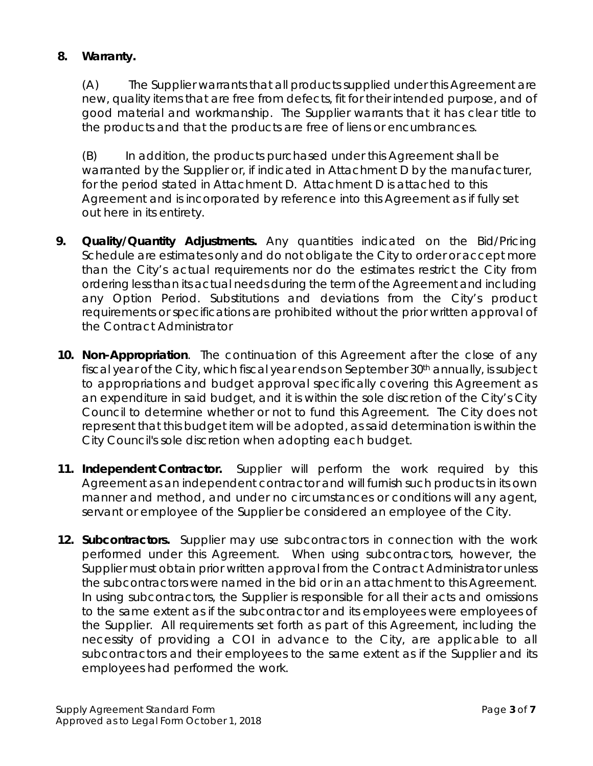## **8. Warranty.**

(A) The Supplier warrants that all products supplied under this Agreement are new, quality items that are free from defects, fit for their intended purpose, and of good material and workmanship. The Supplier warrants that it has clear title to the products and that the products are free of liens or encumbrances.

(B) In addition, the products purchased under this Agreement shall be warranted by the Supplier or, if indicated in Attachment D by the manufacturer, for the period stated in Attachment D. Attachment D is attached to this Agreement and is incorporated by reference into this Agreement as if fully set out here in its entirety.

- **9. Quality/Quantity Adjustments.** Any quantities indicated on the Bid/Pricing Schedule are estimates only and do not obligate the City to order or accept more than the City's actual requirements nor do the estimates restrict the City from ordering less than its actual needs during the term of the Agreement and including any Option Period. Substitutions and deviations from the City's product requirements or specifications are prohibited without the prior written approval of the Contract Administrator
- **10. Non-Appropriation**. The continuation of this Agreement after the close of any fiscal year of the City, which fiscal year ends on September 30<sup>th</sup> annually, is subject to appropriations and budget approval specifically covering this Agreement as an expenditure in said budget, and it is within the sole discretion of the City's City Council to determine whether or not to fund this Agreement. The City does not represent that this budget item will be adopted, as said determination is within the City Council's sole discretion when adopting each budget.
- **11. Independent Contractor.** Supplier will perform the work required by this Agreement as an independent contractor and will furnish such products in its own manner and method, and under no circumstances or conditions will any agent, servant or employee of the Supplier be considered an employee of the City.
- **12. Subcontractors.** Supplier may use subcontractors in connection with the work performed under this Agreement. When using subcontractors, however, the Supplier must obtain prior written approval from the Contract Administrator unless the subcontractors were named in the bid or in an attachment to this Agreement. In using subcontractors, the Supplier is responsible for all their acts and omissions to the same extent as if the subcontractor and its employees were employees of the Supplier. All requirements set forth as part of this Agreement, including the necessity of providing a COI in advance to the City, are applicable to all subcontractors and their employees to the same extent as if the Supplier and its employees had performed the work.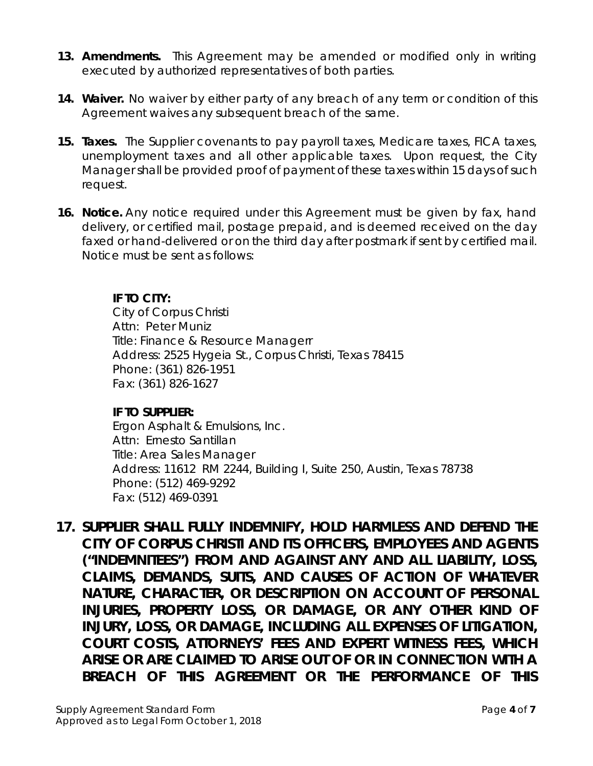- **13. Amendments.** This Agreement may be amended or modified only in writing executed by authorized representatives of both parties.
- **14. Waiver.** No waiver by either party of any breach of any term or condition of this Agreement waives any subsequent breach of the same.
- **15. Taxes.** The Supplier covenants to pay payroll taxes, Medicare taxes, FICA taxes, unemployment taxes and all other applicable taxes. Upon request, the City Manager shall be provided proof of payment of these taxes within 15 days of such request.
- **16. Notice.** Any notice required under this Agreement must be given by fax, hand delivery, or certified mail, postage prepaid, and is deemed received on the day faxed or hand-delivered or on the third day after postmark if sent by certified mail. Notice must be sent as follows:

## **IF TO CITY:**

City of Corpus Christi Attn: Peter Muniz Title: Finance & Resource Managerr Address: 2525 Hygeia St., Corpus Christi, Texas 78415 Phone: (361) 826-1951 Fax: (361) 826-1627

#### **IF TO SUPPLIER:**

Ergon Asphalt & Emulsions, Inc. Attn: Ernesto Santillan Title: Area Sales Manager Address: 11612 RM 2244, Building I, Suite 250, Austin, Texas 78738 Phone: (512) 469-9292 Fax: (512) 469-0391

**17.** *SUPPLIER SHALL FULLY INDEMNIFY, HOLD HARMLESS AND DEFEND THE CITY OF CORPUS CHRISTI AND ITS OFFICERS, EMPLOYEES AND AGENTS ("INDEMNITEES") FROM AND AGAINST ANY AND ALL LIABILITY, LOSS, CLAIMS, DEMANDS, SUITS, AND CAUSES OF ACTION OF WHATEVER NATURE, CHARACTER, OR DESCRIPTION ON ACCOUNT OF PERSONAL INJURIES, PROPERTY LOSS, OR DAMAGE, OR ANY OTHER KIND OF INJURY, LOSS, OR DAMAGE, INCLUDING ALL EXPENSES OF LITIGATION, COURT COSTS, ATTORNEYS' FEES AND EXPERT WITNESS FEES, WHICH ARISE OR ARE CLAIMED TO ARISE OUT OF OR IN CONNECTION WITH A BREACH OF THIS AGREEMENT OR THE PERFORMANCE OF THIS*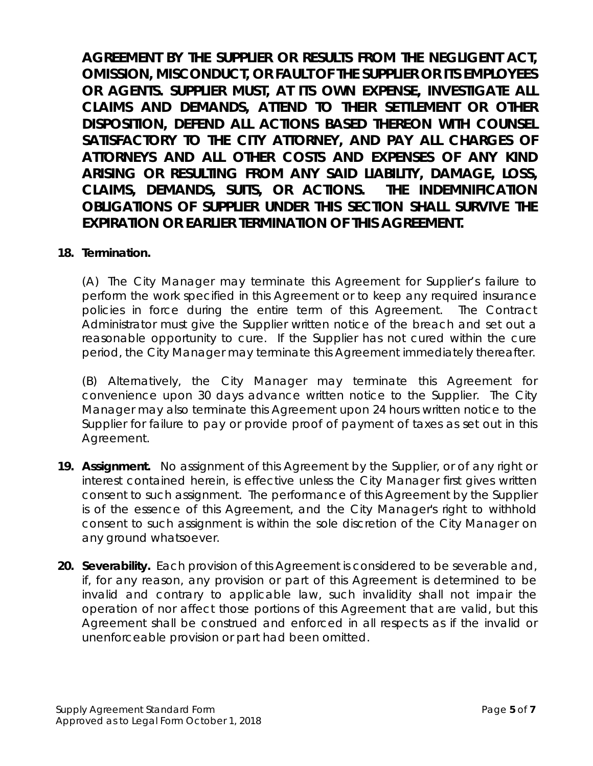*AGREEMENT BY THE SUPPLIER OR RESULTS FROM THE NEGLIGENT ACT, OMISSION, MISCONDUCT, OR FAULT OF THE SUPPLIER OR ITS EMPLOYEES OR AGENTS. SUPPLIER MUST, AT ITS OWN EXPENSE, INVESTIGATE ALL CLAIMS AND DEMANDS, ATTEND TO THEIR SETTLEMENT OR OTHER DISPOSITION, DEFEND ALL ACTIONS BASED THEREON WITH COUNSEL*  SATISFACTORY TO THE CITY ATTORNEY, AND PAY ALL CHARGES OF *ATTORNEYS AND ALL OTHER COSTS AND EXPENSES OF ANY KIND ARISING OR RESULTING FROM ANY SAID LIABILITY, DAMAGE, LOSS, CLAIMS, DEMANDS, SUITS, OR ACTIONS. THE INDEMNIFICATION OBLIGATIONS OF SUPPLIER UNDER THIS SECTION SHALL SURVIVE THE EXPIRATION OR EARLIER TERMINATION OF THIS AGREEMENT.*

#### **18. Termination.**

(A) The City Manager may terminate this Agreement for Supplier's failure to perform the work specified in this Agreement or to keep any required insurance policies in force during the entire term of this Agreement. The Contract Administrator must give the Supplier written notice of the breach and set out a reasonable opportunity to cure. If the Supplier has not cured within the cure period, the City Manager may terminate this Agreement immediately thereafter.

(B) Alternatively, the City Manager may terminate this Agreement for convenience upon 30 days advance written notice to the Supplier. The City Manager may also terminate this Agreement upon 24 hours written notice to the Supplier for failure to pay or provide proof of payment of taxes as set out in this Agreement.

- **19. Assignment.** No assignment of this Agreement by the Supplier, or of any right or interest contained herein, is effective unless the City Manager first gives written consent to such assignment. The performance of this Agreement by the Supplier is of the essence of this Agreement, and the City Manager's right to withhold consent to such assignment is within the sole discretion of the City Manager on any ground whatsoever.
- **20. Severability.** Each provision of this Agreement is considered to be severable and, if, for any reason, any provision or part of this Agreement is determined to be invalid and contrary to applicable law, such invalidity shall not impair the operation of nor affect those portions of this Agreement that are valid, but this Agreement shall be construed and enforced in all respects as if the invalid or unenforceable provision or part had been omitted.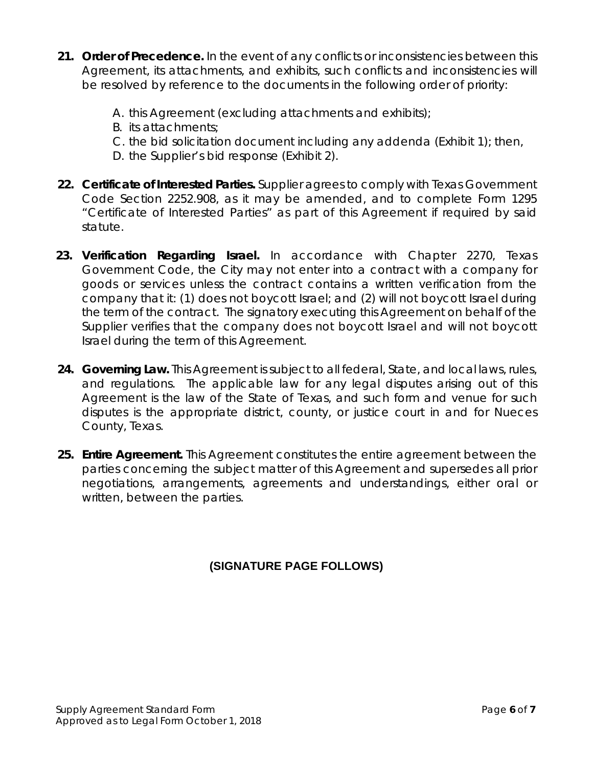- **21. Order of Precedence.** In the event of any conflicts or inconsistencies between this Agreement, its attachments, and exhibits, such conflicts and inconsistencies will be resolved by reference to the documents in the following order of priority:
	- A. this Agreement (excluding attachments and exhibits);
	- B. its attachments;
	- C. the bid solicitation document including any addenda (Exhibit 1); then,
	- D. the Supplier's bid response (Exhibit 2).
- **22. Certificate of Interested Parties.** Supplier agrees to comply with Texas Government Code Section 2252.908, as it may be amended, and to complete Form 1295 "Certificate of Interested Parties" as part of this Agreement if required by said statute.
- **23. Verification Regarding Israel.** In accordance with Chapter 2270, Texas Government Code, the City may not enter into a contract with a company for goods or services unless the contract contains a written verification from the company that it: (1) does not boycott Israel; and (2) will not boycott Israel during the term of the contract. The signatory executing this Agreement on behalf of the Supplier verifies that the company does not boycott Israel and will not boycott Israel during the term of this Agreement.
- **24. Governing Law.** This Agreement is subject to all federal, State, and local laws, rules, and regulations. The applicable law for any legal disputes arising out of this Agreement is the law of the State of Texas, and such form and venue for such disputes is the appropriate district, county, or justice court in and for Nueces County, Texas.
- **25. Entire Agreement.** This Agreement constitutes the entire agreement between the parties concerning the subject matter of this Agreement and supersedes all prior negotiations, arrangements, agreements and understandings, either oral or written, between the parties.

## **(SIGNATURE PAGE FOLLOWS)**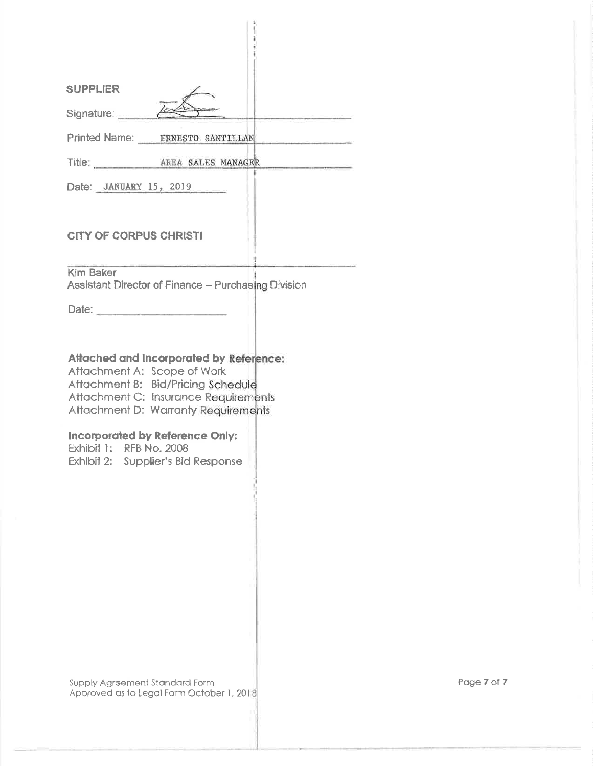| <b>SUPPLIER</b>                                                                                                                                                                                                                                                                                               |
|---------------------------------------------------------------------------------------------------------------------------------------------------------------------------------------------------------------------------------------------------------------------------------------------------------------|
| Signature:                                                                                                                                                                                                                                                                                                    |
| Printed Name: ERNESTO SANTILLAN                                                                                                                                                                                                                                                                               |
| Title: AREA SALES MANAGER                                                                                                                                                                                                                                                                                     |
| Date: JANUARY 15, 2019                                                                                                                                                                                                                                                                                        |
| <b>CITY OF CORPUS CHRISTI</b>                                                                                                                                                                                                                                                                                 |
| <b>Kim Baker</b><br>Assistant Director of Finance - Purchasing Division                                                                                                                                                                                                                                       |
| Date:                                                                                                                                                                                                                                                                                                         |
| <b>Attached and Incorporated by Reference:</b><br>Attachment A: Scope of Work<br>Attachment B: Bid/Pricing Schedule<br>Attachment C: Insurance Requirements<br>Attachment D: Warranty Requirements<br><b>Incorporated by Reference Only:</b><br>Exhibit 1: RFB No. 2008<br>Exhibit 2: Supplier's Bid Response |
| Supply Agreement Standard Form<br>Approved as to Legal Form October 1, 2018                                                                                                                                                                                                                                   |

Page 7 of 7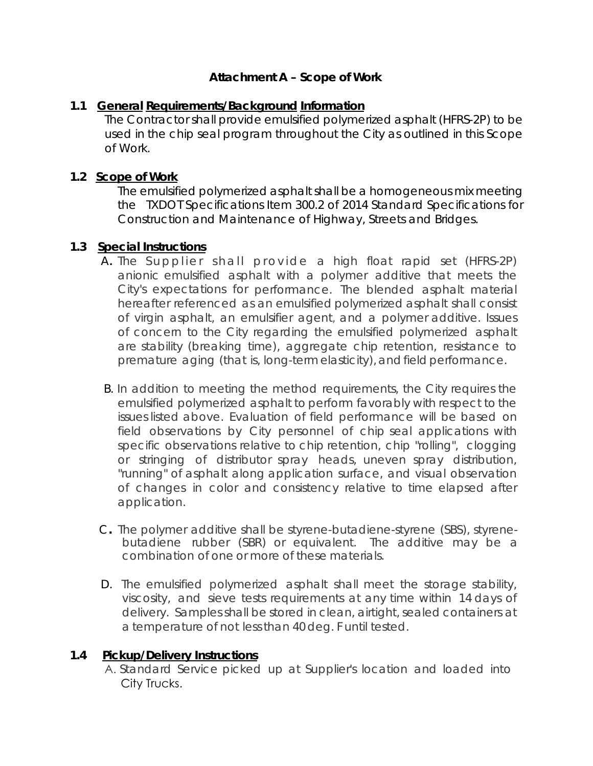## **Attachment A – Scope of Work**

#### **1.1 General Requirements/Background Information**

 The Contractor shall provide emulsified polymerized asphalt (HFRS-2P) to be used in the chip seal program throughout the City as outlined in this Scope of Work.

## **1.2 Scope of Work**

The emulsified polymerized asphalt shall be a homogeneous mix meeting the TXDOT Specifications Item 300.2 of 2014 Standard Specifications for Construction and Maintenance of Highway, Streets and Bridges.

## **1.3 Special Instructions**

- A**.** The S upplier shall provide a high float rapid set (HFRS-2P) anionic emulsified asphalt with a polymer additive that meets the City's expectations for performance. The blended asphalt material hereafter referenced as an emulsified polymerized asphalt shall consist of virgin asphalt, an emulsifier agent, and a polymer additive. Issues of concern to the City regarding the emulsified polymerized asphalt are stability (breaking time), aggregate chip retention, resistance to premature aging (that is, long-term elasticity), and field performance.
- B. In addition to meeting the method requirements, the City requires the emulsified polymerized asphalt to perform favorably with respect to the issues listed above. Evaluation of field performance will be based on field observations by City personnel of chip seal applications with specific observations relative to chip retention, chip "rolling", clogging or stringing of distributor spray heads, uneven spray distribution, "running" of asphalt along application surface, and visual observation of changes in color and consistency relative to time elapsed after application.
- C**.** The polymer additive shall be styrene-butadiene-styrene (SBS), styrenebutadiene rubber (SBR) or equivalent. The additive may be a combination of one or more of these materials.
- D. The emulsified polymerized asphalt shall meet the storage stability, viscosity, and sieve tests requirements at any time within 14 days of delivery. Samples shall be stored in clean, airtight, sealed containers at a temperature of not lessthan 40 deg. F until tested.

#### **1.4 Pickup/Delivery Instructions**

A. Standard Service picked up at Supplier's location and loaded into City Trucks.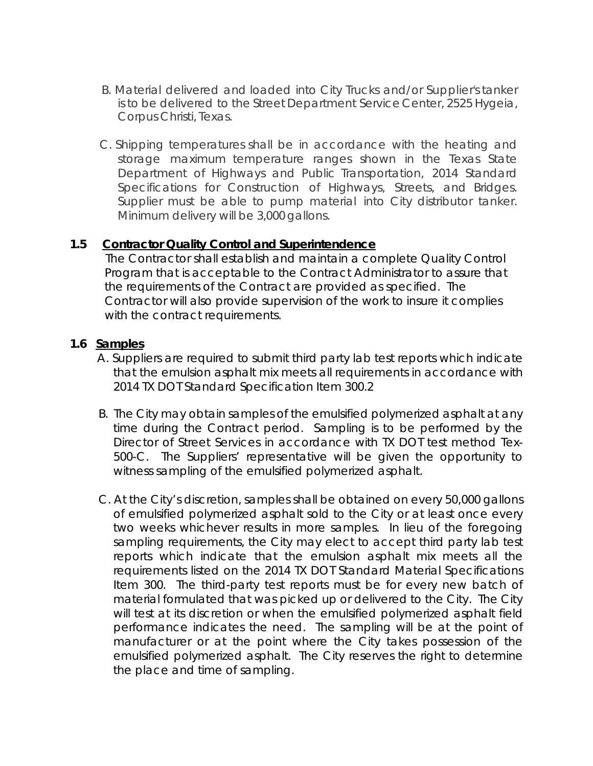- B. Material delivered and loaded into City Trucks and/or Supplier's tanker is to be delivered to the Street Department Service Center, 2525 Hygeia, Corpus Christi, Texas.
- C. Shipping temperatures shall be in accordance with the heating and storage maximum temperature ranges shown in the Texas State Department of Highways and Public Transportation, 2014 Standard Specifications for Construction of Highways, Streets, and Bridges. Supplier must be able to pump material into City distributor tanker. Minimum delivery will be 3,000 gallons.

#### **1.5 Contractor Quality Control and Superintendence**

The Contractor shall establish and maintain a complete Quality Control Program that is acceptable to the Contract Administrator to assure that the requirements of the Contract are provided as specified. The Contractor will also provide supervision of the work to insure it complies with the contract requirements.

#### **1.6 Samples**

- A. Suppliers are required to submit third party lab test reports which indicate that the emulsion asphalt mix meets all requirements in accordance with 2014 TX DOT Standard Specification Item 300.2
- B. The City may obtain samples of the emulsified polymerized asphalt at any time during the Contract period. Sampling is to be performed by the Director of Street Services in accordance with TX DOT test method Tex-500-C. The Suppliers' representative will be given the opportunity to witness sampling of the emulsified polymerized asphalt.
- C. At the City's discretion, samples shall be obtained on every 50,000 gallons of emulsified polymerized asphalt sold to the City or at least once every two weeks whichever results in more samples. In lieu of the foregoing sampling requirements, the City may elect to accept third party lab test reports which indicate that the emulsion asphalt mix meets all the requirements listed on the 2014 TX DOT Standard Material Specifications Item 300. The third-party test reports must be for every new batch of material formulated that was picked up or delivered to the City. The City will test at its discretion or when the emulsified polymerized asphalt field performance indicates the need. The sampling will be at the point of manufacturer or at the point where the City takes possession of the emulsified polymerized asphalt. The City reserves the right to determine the place and time of sampling.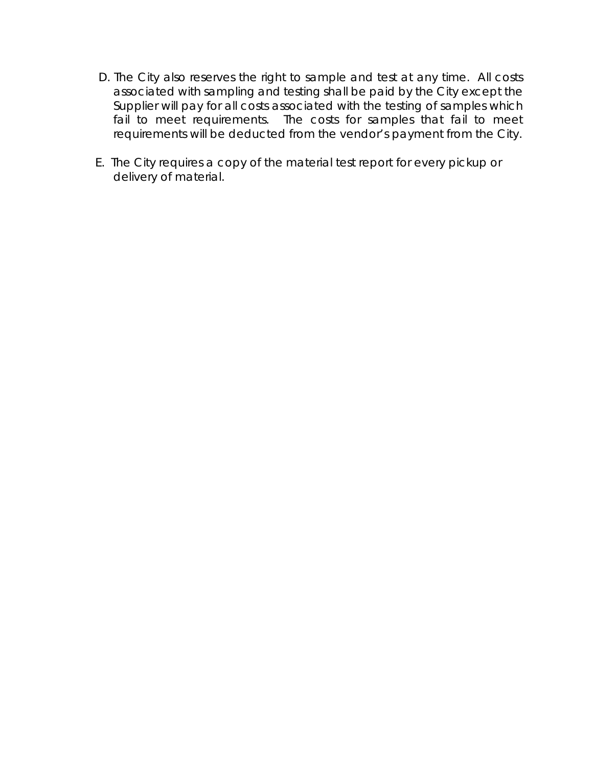- D. The City also reserves the right to sample and test at any time. All costs associated with sampling and testing shall be paid by the City except the Supplier will pay for all costs associated with the testing of samples which fail to meet requirements. The costs for samples that fail to meet requirements will be deducted from the vendor's payment from the City.
- E. The City requires a copy of the material test report for every pickup or delivery of material.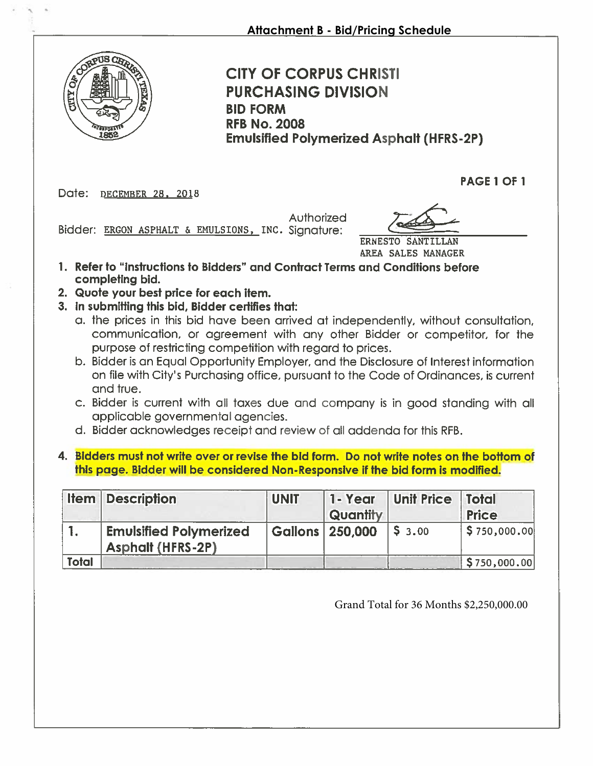

**CITY OF CORPUS CHRISTI PURCHASING DIVISION BID FORM RFB No. 2008 Emulsified Polymerized Asphalt (HFRS-2P)** 

Date: DECEMBER 28, 2018

PAGE 1 OF 1

Authorized

Bidder: ERGON ASPHALT & EMULSIONS, INC. Signature:

ERNESTO SANTILLAN AREA SALES MANAGER

- 1. Refer to "instructions to Bidders" and Contract Terms and Conditions before completing bid.
- 2. Quote your best price for each item.
- 3. In submitting this bid, Bidder certifies that:
	- a. the prices in this bid have been arrived at independently, without consultation, communication, or agreement with any other Bidder or competitor, for the purpose of restricting competition with regard to prices.
	- b. Bidder is an Equal Opportunity Employer, and the Disclosure of Interest information on file with City's Purchasing office, pursuant to the Code of Ordinances, is current and true.
	- c. Bidder is current with all taxes due and company is in good standing with all applicable governmental agencies.
	- d. Bidder acknowledges receipt and review of all addenda for this RFB.
- 4. Bidders must not write over or revise the bid form. Do not write notes on the bottom of this page. Bidder will be considered Non-Responsive if the bid form is modified.

|       | <b>Item Description</b>                            | <b>UNIT</b>       | 1-Year<br>Quantity | Unit Price   Total | <b>Price</b> |
|-------|----------------------------------------------------|-------------------|--------------------|--------------------|--------------|
|       | <b>Emulsified Polymerized</b><br>Asphalt (HFRS-2P) | Gallons   250,000 |                    | 153.00             | \$750,000.00 |
| Total |                                                    |                   |                    |                    | \$750,000.00 |

Grand Total for 36 Months \$2,250,000.00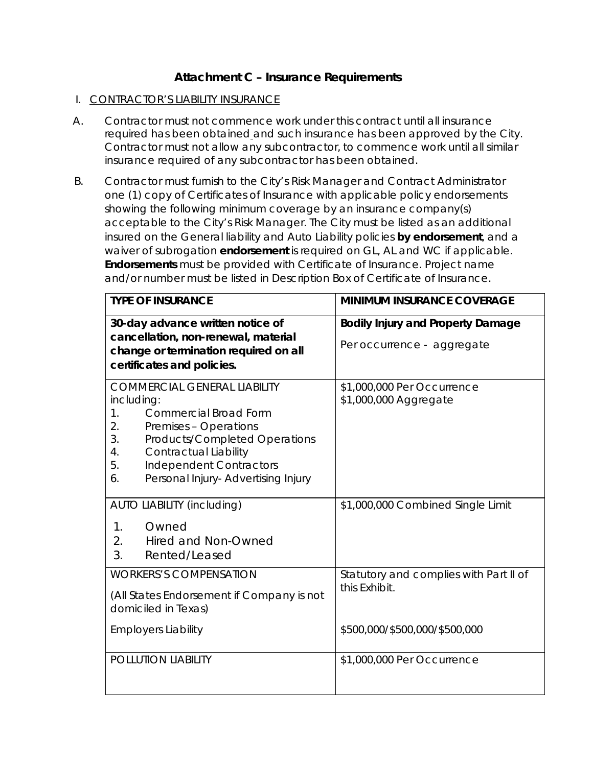#### **Attachment C – Insurance Requirements**

#### I. CONTRACTOR'S LIABILITY INSURANCE

- A. Contractor must not commence work under this contract until all insurance required has been obtained and such insurance has been approved by the City. Contractor must not allow any subcontractor, to commence work until all similar insurance required of any subcontractor has been obtained.
- B. Contractor must furnish to the City's Risk Manager and Contract Administrator one (1) copy of Certificates of Insurance with applicable policy endorsements showing the following minimum coverage by an insurance company(s) acceptable to the City's Risk Manager. The City must be listed as an additional insured on the General liability and Auto Liability policies **by endorsement**, and a waiver of subrogation **endorsement** is required on GL, AL and WC if applicable. **Endorsements** must be provided with Certificate of Insurance. Project name and/or number must be listed in Description Box of Certificate of Insurance.

| <b>TYPE OF INSURANCE</b>                                                                                                                                                                                                                                                                      | <b>MINIMUM INSURANCE COVERAGE</b>                       |  |  |
|-----------------------------------------------------------------------------------------------------------------------------------------------------------------------------------------------------------------------------------------------------------------------------------------------|---------------------------------------------------------|--|--|
| 30-day advance written notice of                                                                                                                                                                                                                                                              | <b>Bodily Injury and Property Damage</b>                |  |  |
| cancellation, non-renewal, material<br>change or termination required on all<br>certificates and policies.                                                                                                                                                                                    | Per occurrence - aggregate                              |  |  |
| <b>COMMERCIAL GENERAL LIABILITY</b><br>including:<br><b>Commercial Broad Form</b><br>$\mathbf{1}$ .<br>2.<br>Premises - Operations<br>3.<br>Products/Completed Operations<br>Contractual Liability<br>4.<br>5.<br><b>Independent Contractors</b><br>Personal Injury- Advertising Injury<br>6. | \$1,000,000 Per Occurrence<br>\$1,000,000 Aggregate     |  |  |
| <b>AUTO LIABILITY (including)</b>                                                                                                                                                                                                                                                             | \$1,000,000 Combined Single Limit                       |  |  |
| Owned<br>1.<br>2.<br>Hired and Non-Owned<br>3.<br>Rented/Leased                                                                                                                                                                                                                               |                                                         |  |  |
| <b>WORKERS'S COMPENSATION</b>                                                                                                                                                                                                                                                                 | Statutory and complies with Part II of<br>this Exhibit. |  |  |
| (All States Endorsement if Company is not<br>domiciled in Texas)                                                                                                                                                                                                                              |                                                         |  |  |
| <b>Employers Liability</b>                                                                                                                                                                                                                                                                    | \$500,000/\$500,000/\$500,000                           |  |  |
| POLLUTION LIABILITY                                                                                                                                                                                                                                                                           | \$1,000,000 Per Occurrence                              |  |  |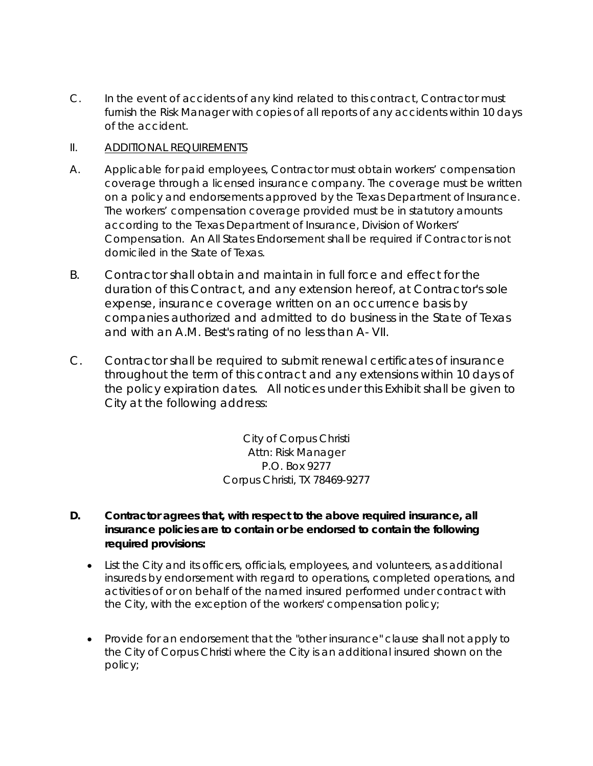C. In the event of accidents of any kind related to this contract, Contractor must furnish the Risk Manager with copies of all reports of any accidents within 10 days of the accident.

#### II. ADDITIONAL REQUIREMENTS

- A. Applicable for paid employees, Contractor must obtain workers' compensation coverage through a licensed insurance company. The coverage must be written on a policy and endorsements approved by the Texas Department of Insurance. The workers' compensation coverage provided must be in statutory amounts according to the Texas Department of Insurance, Division of Workers' Compensation. An All States Endorsement shall be required if Contractor is not domiciled in the State of Texas.
- B. Contractor shall obtain and maintain in full force and effect for the duration of this Contract, and any extension hereof, at Contractor's sole expense, insurance coverage written on an occurrence basis by companies authorized and admitted to do business in the State of Texas and with an A.M. Best's rating of no less than A- VII.
- C. Contractor shall be required to submit renewal certificates of insurance throughout the term of this contract and any extensions within 10 days of the policy expiration dates. All notices under this Exhibit shall be given to City at the following address:

City of Corpus Christi Attn: Risk Manager P.O. Box 9277 Corpus Christi, TX 78469-9277

- **D. Contractor agrees that, with respect to the above required insurance, all insurance policies are to contain or be endorsed to contain the following required provisions:**
	- List the City and its officers, officials, employees, and volunteers, as additional insureds by endorsement with regard to operations, completed operations, and activities of or on behalf of the named insured performed under contract with the City, with the exception of the workers' compensation policy;
	- Provide for an endorsement that the "other insurance" clause shall not apply to the City of Corpus Christi where the City is an additional insured shown on the policy;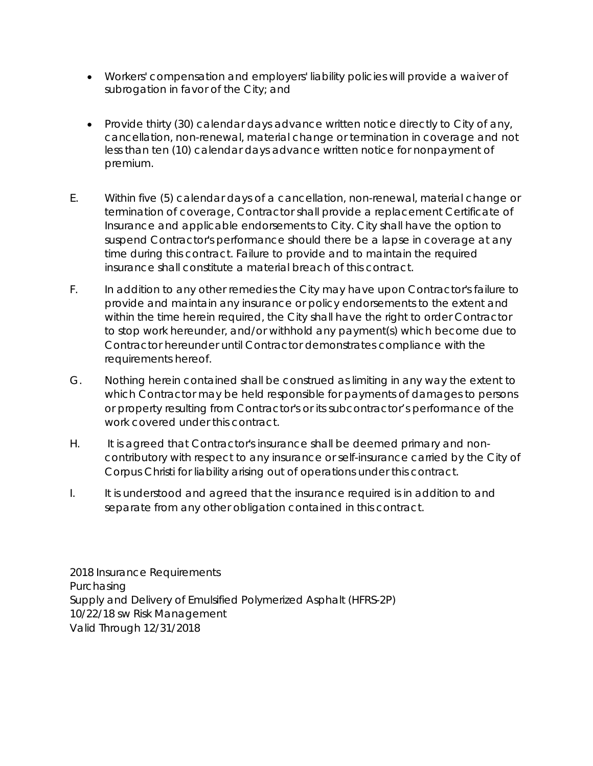- Workers' compensation and employers' liability policies will provide a waiver of subrogation in favor of the City; and
- Provide thirty (30) calendar days advance written notice directly to City of any, cancellation, non-renewal, material change or termination in coverage and not less than ten (10) calendar days advance written notice for nonpayment of premium.
- E. Within five (5) calendar days of a cancellation, non-renewal, material change or termination of coverage, Contractor shall provide a replacement Certificate of Insurance and applicable endorsements to City. City shall have the option to suspend Contractor's performance should there be a lapse in coverage at any time during this contract. Failure to provide and to maintain the required insurance shall constitute a material breach of this contract.
- F. In addition to any other remedies the City may have upon Contractor's failure to provide and maintain any insurance or policy endorsements to the extent and within the time herein required, the City shall have the right to order Contractor to stop work hereunder, and/or withhold any payment(s) which become due to Contractor hereunder until Contractor demonstrates compliance with the requirements hereof.
- G. Nothing herein contained shall be construed as limiting in any way the extent to which Contractor may be held responsible for payments of damages to persons or property resulting from Contractor's or its subcontractor's performance of the work covered under this contract.
- H. It is agreed that Contractor's insurance shall be deemed primary and noncontributory with respect to any insurance or self-insurance carried by the City of Corpus Christi for liability arising out of operations under this contract.
- I. It is understood and agreed that the insurance required is in addition to and separate from any other obligation contained in this contract.

2018 Insurance Requirements Purchasing Supply and Delivery of Emulsified Polymerized Asphalt (HFRS-2P) 10/22/18 sw Risk Management Valid Through 12/31/2018